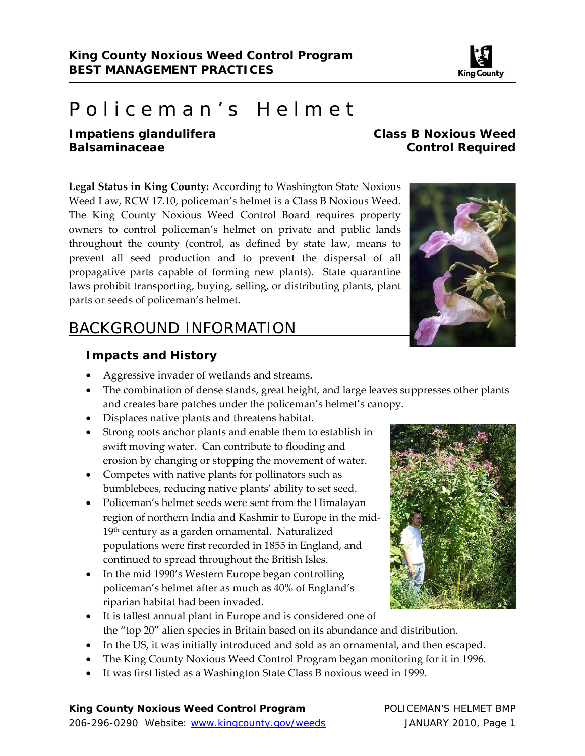

# Policeman's Helmet

#### *Impatiens glandulifera* **Class B Noxious Weed Balsaminaceae** Control Required

**Legal Status in King County:** According to Washington State Noxious Weed Law, RCW 17.10, policeman's helmet is a Class B Noxious Weed. The King County Noxious Weed Control Board requires property owners to control policeman's helmet on private and public lands throughout the county (control, as defined by state law, means to prevent all seed production and to prevent the dispersal of all propagative parts capable of forming new plants). State quarantine laws prohibit transporting, buying, selling, or distributing plants, plant parts or seeds of policeman's helmet.

# BACKGROUND INFORMATION

#### **Impacts and History**

- Aggressive invader of wetlands and streams.
- The combination of dense stands, great height, and large leaves suppresses other plants and creates bare patches under the policeman's helmet's canopy.
- Displaces native plants and threatens habitat.
- Strong roots anchor plants and enable them to establish in swift moving water. Can contribute to flooding and erosion by changing or stopping the movement of water.
- Competes with native plants for pollinators such as bumblebees, reducing native plants' ability to set seed.
- Policeman's helmet seeds were sent from the Himalayan region of northern India and Kashmir to Europe in the mid‐ 19<sup>th</sup> century as a garden ornamental. Naturalized populations were first recorded in 1855 in England, and continued to spread throughout the British Isles.
- In the mid 1990's Western Europe began controlling policeman's helmet after as much as 40% of England's riparian habitat had been invaded.
- It is tallest annual plant in Europe and is considered one of the "top 20" alien species in Britain based on its abundance and distribution.
- In the US, it was initially introduced and sold as an ornamental, and then escaped.
- The King County Noxious Weed Control Program began monitoring for it in 1996.
- It was first listed as a Washington State Class B noxious weed in 1999.

#### King County Noxious Weed Control Program **POLICEMAN'S HELMET BMP**

206-296-0290 Website: www.kingcounty.gov/weeds JANUARY 2010, Page 1



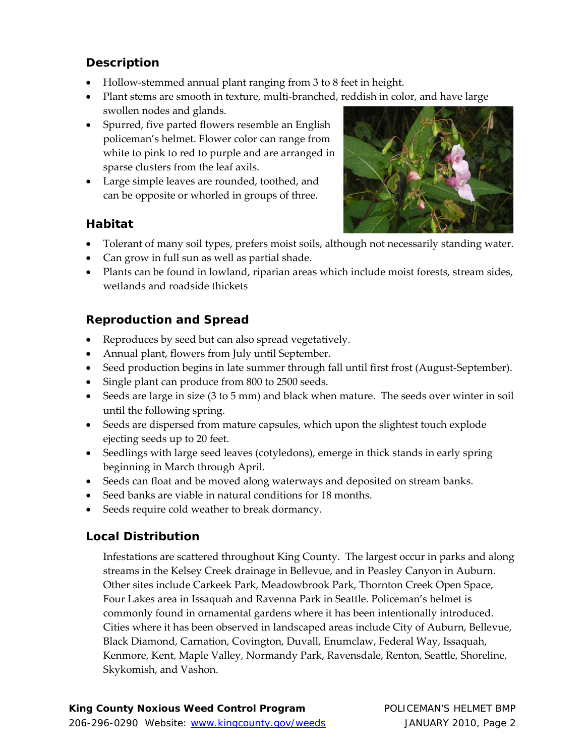# **Description**

- Hollow-stemmed annual plant ranging from 3 to 8 feet in height.
- Plant stems are smooth in texture, multi‐branched, reddish in color, and have large swollen nodes and glands.
- Spurred, five parted flowers resemble an English policeman's helmet. Flower color can range from white to pink to red to purple and are arranged in sparse clusters from the leaf axils.
- Large simple leaves are rounded, toothed, and can be opposite or whorled in groups of three.

## **Habitat**



- Can grow in full sun as well as partial shade.
- Plants can be found in lowland, riparian areas which include moist forests, stream sides, wetlands and roadside thickets

# **Reproduction and Spread**

- Reproduces by seed but can also spread vegetatively.
- Annual plant, flowers from July until September.
- Seed production begins in late summer through fall until first frost (August‐September).
- Single plant can produce from 800 to 2500 seeds.
- Seeds are large in size (3 to 5 mm) and black when mature. The seeds over winter in soil until the following spring.
- Seeds are dispersed from mature capsules, which upon the slightest touch explode ejecting seeds up to 20 feet.
- Seedlings with large seed leaves (cotyledons), emerge in thick stands in early spring beginning in March through April.
- Seeds can float and be moved along waterways and deposited on stream banks.
- Seed banks are viable in natural conditions for 18 months.
- Seeds require cold weather to break dormancy.

# **Local Distribution**

Infestations are scattered throughout King County. The largest occur in parks and along streams in the Kelsey Creek drainage in Bellevue, and in Peasley Canyon in Auburn. Other sites include Carkeek Park, Meadowbrook Park, Thornton Creek Open Space, Four Lakes area in Issaquah and Ravenna Park in Seattle. Policeman's helmet is commonly found in ornamental gardens where it has been intentionally introduced. Cities where it has been observed in landscaped areas include City of Auburn, Bellevue, Black Diamond, Carnation, Covington, Duvall, Enumclaw, Federal Way, Issaquah, Kenmore, Kent, Maple Valley, Normandy Park, Ravensdale, Renton, Seattle, Shoreline, Skykomish, and Vashon.

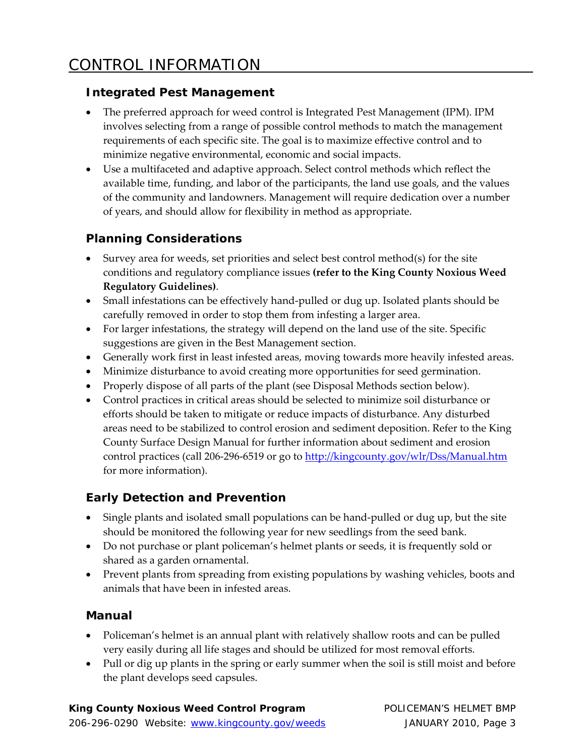## **Integrated Pest Management**

- The preferred approach for weed control is Integrated Pest Management (IPM). IPM involves selecting from a range of possible control methods to match the management requirements of each specific site. The goal is to maximize effective control and to minimize negative environmental, economic and social impacts.
- Use a multifaceted and adaptive approach. Select control methods which reflect the available time, funding, and labor of the participants, the land use goals, and the values of the community and landowners. Management will require dedication over a number of years, and should allow for flexibility in method as appropriate.

# **Planning Considerations**

- Survey area for weeds, set priorities and select best control method(s) for the site conditions and regulatory compliance issues **(refer to the King County Noxious Weed Regulatory Guidelines)**.
- Small infestations can be effectively hand-pulled or dug up. Isolated plants should be carefully removed in order to stop them from infesting a larger area.
- For larger infestations, the strategy will depend on the land use of the site. Specific suggestions are given in the Best Management section.
- Generally work first in least infested areas, moving towards more heavily infested areas.
- Minimize disturbance to avoid creating more opportunities for seed germination.
- Properly dispose of all parts of the plant (see Disposal Methods section below).
- Control practices in critical areas should be selected to minimize soil disturbance or efforts should be taken to mitigate or reduce impacts of disturbance. Any disturbed areas need to be stabilized to control erosion and sediment deposition. Refer to the King County Surface Design Manual for further information about sediment and erosion control practices (call 206-296-6519 or go to http://kingcounty.gov/wlr/Dss/Manual.htm for more information).

# **Early Detection and Prevention**

- Single plants and isolated small populations can be hand‐pulled or dug up, but the site should be monitored the following year for new seedlings from the seed bank.
- Do not purchase or plant policeman's helmet plants or seeds, it is frequently sold or shared as a garden ornamental.
- Prevent plants from spreading from existing populations by washing vehicles, boots and animals that have been in infested areas.

#### **Manual**

- Policeman's helmet is an annual plant with relatively shallow roots and can be pulled very easily during all life stages and should be utilized for most removal efforts.
- Pull or dig up plants in the spring or early summer when the soil is still moist and before the plant develops seed capsules.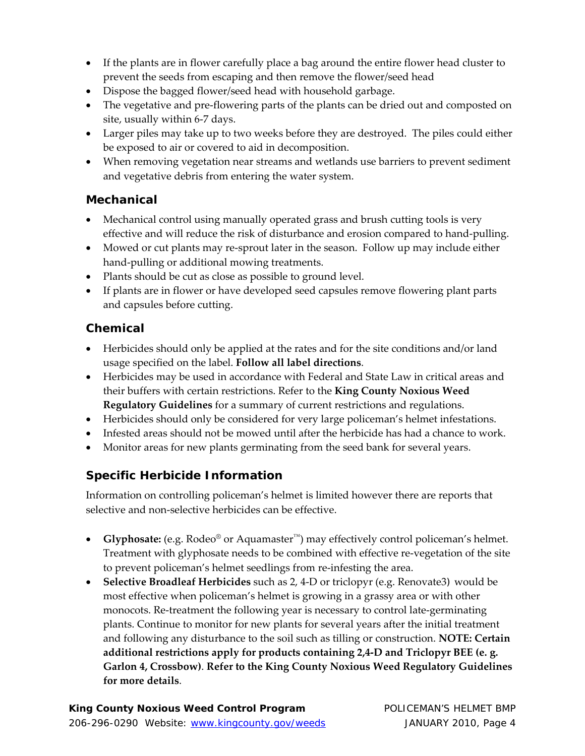- If the plants are in flower carefully place a bag around the entire flower head cluster to prevent the seeds from escaping and then remove the flower/seed head
- Dispose the bagged flower/seed head with household garbage.
- The vegetative and pre-flowering parts of the plants can be dried out and composted on site, usually within 6‐7 days.
- Larger piles may take up to two weeks before they are destroyed. The piles could either be exposed to air or covered to aid in decomposition.
- When removing vegetation near streams and wetlands use barriers to prevent sediment and vegetative debris from entering the water system.

#### **Mechanical**

- Mechanical control using manually operated grass and brush cutting tools is very effective and will reduce the risk of disturbance and erosion compared to hand-pulling.
- Mowed or cut plants may re-sprout later in the season. Follow up may include either hand‐pulling or additional mowing treatments.
- Plants should be cut as close as possible to ground level.
- If plants are in flower or have developed seed capsules remove flowering plant parts and capsules before cutting.

# **Chemical**

- Herbicides should only be applied at the rates and for the site conditions and/or land usage specified on the label. **Follow all label directions**.
- Herbicides may be used in accordance with Federal and State Law in critical areas and their buffers with certain restrictions. Refer to the **King County Noxious Weed Regulatory Guidelines** for a summary of current restrictions and regulations.
- Herbicides should only be considered for very large policeman's helmet infestations.
- Infested areas should not be mowed until after the herbicide has had a chance to work.
- Monitor areas for new plants germinating from the seed bank for several years.

# **Specific Herbicide Information**

Information on controlling policeman's helmet is limited however there are reports that selective and non-selective herbicides can be effective.

- **Glyphosate:** (e.g. Rodeo® or Aquamaster™) may effectively control policeman's helmet. Treatment with glyphosate needs to be combined with effective re‐vegetation of the site to prevent policeman's helmet seedlings from re-infesting the area.
- **Selective Broadleaf Herbicides** such as 2, 4‐D or triclopyr (e.g. Renovate3) would be most effective when policeman's helmet is growing in a grassy area or with other monocots. Re‐treatment the following year is necessary to control late‐germinating plants. Continue to monitor for new plants for several years after the initial treatment and following any disturbance to the soil such as tilling or construction. **NOTE: Certain additional restrictions apply for products containing 2,4‐D and Triclopyr BEE (e. g. Garlon 4, Crossbow)**. **Refer to the King County Noxious Weed Regulatory Guidelines for more details**.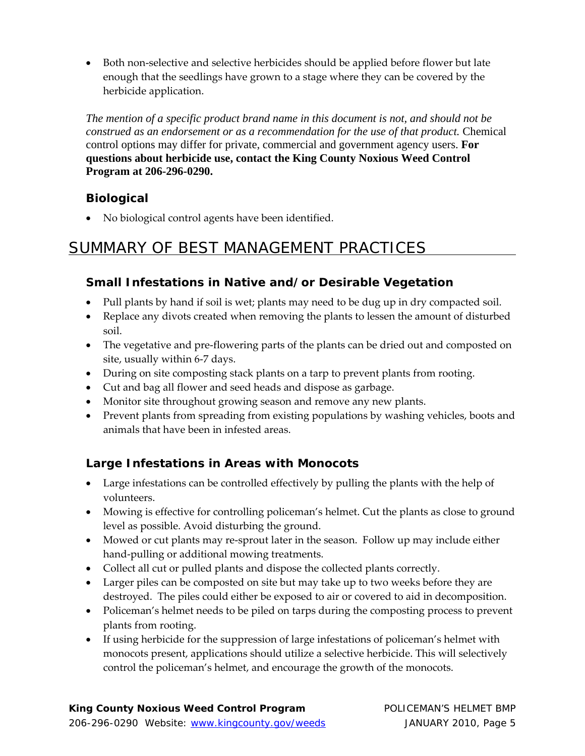● Both non-selective and selective herbicides should be applied before flower but late enough that the seedlings have grown to a stage where they can be covered by the herbicide application.

*The mention of a specific product brand name in this document is not, and should not be construed as an endorsement or as a recommendation for the use of that product.* Chemical control options may differ for private, commercial and government agency users. **For questions about herbicide use, contact the King County Noxious Weed Control Program at 206-296-0290.** 

# **Biological**

No biological control agents have been identified.

# SUMMARY OF BEST MANAGEMENT PRACTICES

# **Small Infestations in Native and/or Desirable Vegetation**

- Pull plants by hand if soil is wet; plants may need to be dug up in dry compacted soil.
- Replace any divots created when removing the plants to lessen the amount of disturbed soil.
- The vegetative and pre-flowering parts of the plants can be dried out and composted on site, usually within 6‐7 days.
- During on site composting stack plants on a tarp to prevent plants from rooting.
- Cut and bag all flower and seed heads and dispose as garbage.
- Monitor site throughout growing season and remove any new plants.
- Prevent plants from spreading from existing populations by washing vehicles, boots and animals that have been in infested areas.

# **Large Infestations in Areas with Monocots**

- Large infestations can be controlled effectively by pulling the plants with the help of volunteers.
- Mowing is effective for controlling policeman's helmet. Cut the plants as close to ground level as possible. Avoid disturbing the ground.
- Mowed or cut plants may re-sprout later in the season. Follow up may include either hand-pulling or additional mowing treatments.
- Collect all cut or pulled plants and dispose the collected plants correctly.
- Larger piles can be composted on site but may take up to two weeks before they are destroyed. The piles could either be exposed to air or covered to aid in decomposition.
- Policeman's helmet needs to be piled on tarps during the composting process to prevent plants from rooting.
- If using herbicide for the suppression of large infestations of policeman's helmet with monocots present, applications should utilize a selective herbicide. This will selectively control the policeman's helmet, and encourage the growth of the monocots.